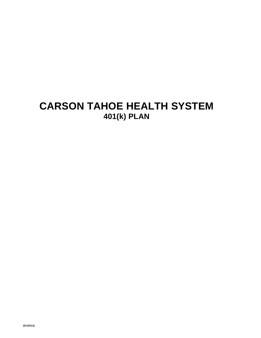# **CARSON TAHOE HEALTH SYSTEM 401(k) PLAN**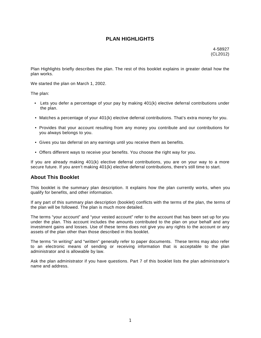# **PLAN HIGHLIGHTS**

4-58927 (CL2012)

Plan Highlights briefly describes the plan. The rest of this booklet explains in greater detail how the plan works.

We started the plan on March 1, 2002.

The plan:

- Lets you defer a percentage of your pay by making 401(k) elective deferral contributions under the plan.
- Matches a percentage of your 401(k) elective deferral contributions. That's extra money for you.
- Provides that your account resulting from any money you contribute and our contributions for you always belongs to you.
- Gives you tax deferral on any earnings until you receive them as benefits.
- Offers different ways to receive your benefits. You choose the right way for you.

If you are already making 401(k) elective deferral contributions, you are on your way to a more secure future. If you aren't making 401(k) elective deferral contributions, there's still time to start.

# **About This Booklet**

This booklet is the summary plan description. It explains how the plan currently works, when you qualify for benefits, and other information.

If any part of this summary plan description (booklet) conflicts with the terms of the plan, the terms of the plan will be followed. The plan is much more detailed.

The terms "your account" and "your vested account" refer to the account that has been set up for you under the plan. This account includes the amounts contributed to the plan on your behalf and any investment gains and losses. Use of these terms does not give you any rights to the account or any assets of the plan other than those described in this booklet.

The terms "in writing" and "written" generally refer to paper documents. These terms may also refer to an electronic means of sending or receiving information that is acceptable to the plan administrator and is allowable by law.

Ask the plan administrator if you have questions. Part 7 of this booklet lists the plan administrator's name and address.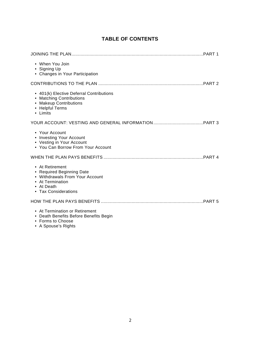# **TABLE OF CONTENTS**

| • When You Join<br>• Signing Up<br>• Changes in Your Participation                                                                        |
|-------------------------------------------------------------------------------------------------------------------------------------------|
|                                                                                                                                           |
| • 401(k) Elective Deferral Contributions<br>• Matching Contributions<br>• Makeup Contributions<br>• Helpful Terms<br>• Limits             |
|                                                                                                                                           |
| • Your Account<br>• Investing Your Account<br>• Vesting in Your Account<br>• You Can Borrow From Your Account                             |
|                                                                                                                                           |
| • At Retirement<br>• Required Beginning Date<br>• Withdrawals From Your Account<br>• At Termination<br>• At Death<br>• Tax Considerations |
|                                                                                                                                           |
| • At Termination or Retirement<br>• Death Benefits Before Benefits Begin<br>• Forms to Choose                                             |

• A Spouse's Rights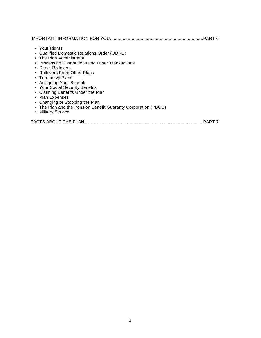- Your Rights
- Qualified Domestic Relations Order (QDRO)
- The Plan Administrator
- Processing Distributions and Other Transactions
- Direct Rollovers
- Rollovers From Other Plans
- Top-heavy Plans
- Assigning Your Benefits
- Your Social Security Benefits
- Claiming Benefits Under the Plan
- Plan Expenses
- Changing or Stopping the Plan
- The Plan and the Pension Benefit Guaranty Corporation (PBGC)
- Military Service

|--|--|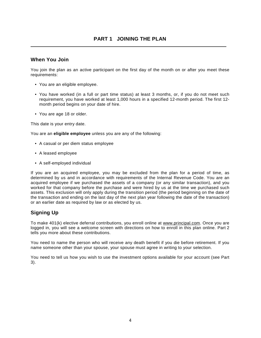# **When You Join**

You join the plan as an active participant on the first day of the month on or after you meet these requirements:

- You are an eligible employee.
- You have worked (in a full or part time status) at least 3 months, or, if you do not meet such requirement, you have worked at least 1,000 hours in a specified 12-month period. The first 12 month period begins on your date of hire.
- You are age 18 or older.

This date is your entry date.

You are an **eligible employee** unless you are any of the following:

- A casual or per diem status employee
- A leased employee
- A self-employed individual

If you are an acquired employee, you may be excluded from the plan for a period of time, as determined by us and in accordance with requirements of the Internal Revenue Code. You are an acquired employee if we purchased the assets of a company (or any similar transaction), and you worked for that company before the purchase and were hired by us at the time we purchased such assets. This exclusion will only apply during the transition period (the period beginning on the date of the transaction and ending on the last day of the next plan year following the date of the transaction) or an earlier date as required by law or as elected by us.

# **Signing Up**

To make 401(k) elective deferral contributions, you enroll online at [www.principal.com](http://www.principal.com). Once you are logged in, you will see a welcome screen with directions on how to enroll in this plan online. Part 2 tells you more about these contributions.

You need to name the person who will receive any death benefit if you die before retirement. If you name someone other than your spouse, your spouse must agree in writing to your selection.

You need to tell us how you wish to use the investment options available for your account (see Part 3).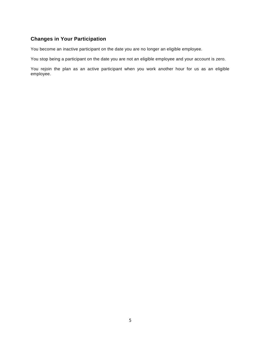# **Changes in Your Participation**

You become an inactive participant on the date you are no longer an eligible employee.

You stop being a participant on the date you are not an eligible employee and your account is zero.

You rejoin the plan as an active participant when you work another hour for us as an eligible employee.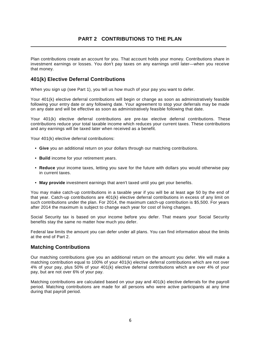# **PART 2 CONTRIBUTIONS TO THE PLAN**

Plan contributions create an account for you. That account holds your money. Contributions share in investment earnings or losses. You don't pay taxes on any earnings until later—when you receive that money.

# **401(k) Elective Deferral Contributions**

When you sign up (see Part 1), you tell us how much of your pay you want to defer.

Your 401(k) elective deferral contributions will begin or change as soon as administratively feasible following your entry date or any following date. Your agreement to stop your deferrals may be made on any date and will be effective as soon as administratively feasible following that date.

Your 401(k) elective deferral contributions are pre-tax elective deferral contributions. These contributions reduce your total taxable income which reduces your current taxes. These contributions and any earnings will be taxed later when received as a benefit.

Your 401(k) elective deferral contributions:

- **Give** you an additional return on your dollars through our matching contributions.
- **Build** income for your retirement years.
- **Reduce** your income taxes, letting you save for the future with dollars you would otherwise pay in current taxes.
- **May provide** investment earnings that aren't taxed until you get your benefits.

You may make catch-up contributions in a taxable year if you will be at least age 50 by the end of that year. Catch-up contributions are 401(k) elective deferral contributions in excess of any limit on such contributions under the plan. For 2014, the maximum catch-up contribution is \$5,500. For years after 2014 the maximum is subject to change each year for cost of living changes.

Social Security tax is based on your income before you defer. That means your Social Security benefits stay the same no matter how much you defer.

Federal law limits the amount you can defer under all plans. You can find information about the limits at the end of Part 2.

# **Matching Contributions**

Our matching contributions give you an additional return on the amount you defer. We will make a matching contribution equal to 100% of your 401(k) elective deferral contributions which are not over 4% of your pay, plus 50% of your 401(k) elective deferral contributions which are over 4% of your pay, but are not over 6% of your pay.

Matching contributions are calculated based on your pay and 401(k) elective deferrals for the payroll period. Matching contributions are made for all persons who were active participants at any time during that payroll period.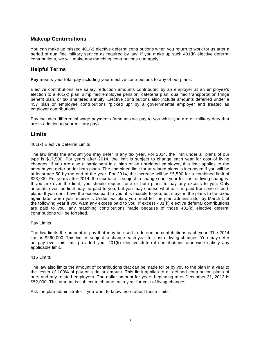# **Makeup Contributions**

You can make up missed 401(k) elective deferral contributions when you return to work for us after a period of qualified military service as required by law. If you make up such 401(k) elective deferral contributions, we will make any matching contributions that apply.

# **Helpful Terms**

**Pay** means your total pay including your elective contributions to any of our plans.

Elective contributions are salary reduction amounts contributed by an employer at an employee's election to a 401(k) plan, simplified employee pension, cafeteria plan, qualified transportation fringe benefit plan, or tax sheltered annuity. Elective contributions also include amounts deferred under a 457 plan or employee contributions "picked up" by a governmental employer and treated as employer contributions.

Pay includes differential wage payments (amounts we pay to you while you are on military duty that are in addition to your military pay).

#### **Limits**

#### 401(k) Elective Deferral Limits

The law limits the amount you may defer in any tax year. For 2014, the limit under all plans of our type is \$17,500. For years after 2014, the limit is subject to change each year for cost of living changes. If you are also a participant in a plan of an unrelated employer, this limit applies to the amount you defer under both plans. The combined limit for unrelated plans is increased if you will be at least age 50 by the end of the year. For 2014, the increase will be \$5,500 for a combined limit of \$23,000. For years after 2014, the increase is subject to change each year for cost of living changes. If you are over the limit, you should request one or both plans to pay any excess to you. Only amounts over the limit may be paid to you, but you may choose whether it is paid from one or both plans. If you don't have the excess paid to you, it is taxable to you, but stays in the plans to be taxed again later when you receive it. Under our plan, you must tell the plan administrator by March 1 of the following year if you want any excess paid to you. If excess 401(k) elective deferral contributions are paid to you, any matching contributions made because of those 401(k) elective deferral contributions will be forfeited.

#### Pay Limits

The law limits the amount of pay that may be used to determine contributions each year. The 2014 limit is \$260,000. This limit is subject to change each year for cost of living changes. You may defer on pay over this limit provided your 401(k) elective deferral contributions otherwise satisfy any applicable limit.

#### 415 Limits

The law also limits the amount of contributions that can be made for or by you to the plan in a year to the lesser of 100% of pay or a dollar amount. This limit applies to all defined contribution plans of ours and any related employers. The dollar amount for years beginning after December 31, 2013 is \$52,000. This amount is subject to change each year for cost of living changes.

Ask the plan administrator if you want to know more about these limits.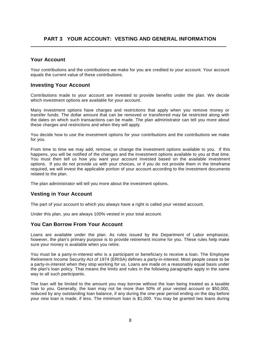# **Your Account**

Your contributions and the contributions we make for you are credited to your account. Your account equals the current value of these contributions.

# **Investing Your Account**

Contributions made to your account are invested to provide benefits under the plan. We decide which investment options are available for your account.

Many investment options have charges and restrictions that apply when you remove money or transfer funds. The dollar amount that can be removed or transferred may be restricted along with the dates on which such transactions can be made. The plan administrator can tell you more about these charges and restrictions and when they will apply.

You decide how to use the investment options for your contributions and the contributions we make for you.

From time to time we may add, remove, or change the investment options available to you. If this happens, you will be notified of the changes and the investment options available to you at that time. You must then tell us how you want your account invested based on the available investment options. If you do not provide us with your choices, or if you do not provide them in the timeframe required, we will invest the applicable portion of your account according to the investment documents related to the plan.

The plan administrator will tell you more about the investment options.

# **Vesting in Your Account**

The part of your account to which you always have a right is called your vested account.

Under this plan, you are always 100% vested in your total account.

# **You Can Borrow From Your Account**

Loans are available under the plan. As rules issued by the Department of Labor emphasize, however, the plan's primary purpose is to provide retirement income for you. These rules help make sure your money is available when you retire.

You must be a party-in-interest who is a participant or beneficiary to receive a loan. The Employee Retirement Income Security Act of 1974 (ERISA) defines a party-in-interest. Most people cease to be a party-in-interest when they stop working for us. Loans are made on a reasonably equal basis under the plan's loan policy. That means the limits and rules in the following paragraphs apply in the same way to all such participants.

The loan will be limited to the amount you may borrow without the loan being treated as a taxable loan to you. Generally, the loan may not be more than 50% of your vested account or \$50,000, reduced by any outstanding loan balance, if any during the one-year period ending on the day before your new loan is made, if less. The minimum loan is \$1,000. You may be granted two loans during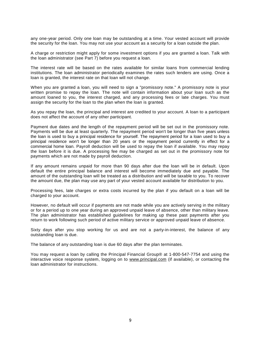any one-year period. Only one loan may be outstanding at a time. Your vested account will provide the security for the loan. You may not use your account as a security for a loan outside the plan.

A charge or restriction might apply for some investment options if you are granted a loan. Talk with the loan administrator (see Part 7) before you request a loan.

The interest rate will be based on the rates available for similar loans from commercial lending institutions. The loan administrator periodically examines the rates such lenders are using. Once a loan is granted, the interest rate on that loan will not change.

When you are granted a loan, you will need to sign a "promissory note." A promissory note is your written promise to repay the loan. The note will contain information about your loan such as the amount loaned to you, the interest charged, and any processing fees or late charges. You must assign the security for the loan to the plan when the loan is granted.

As you repay the loan, the principal and interest are credited to your account. A loan to a participant does not affect the account of any other participant.

Payment due dates and the length of the repayment period will be set out in the promissory note. Payments will be due at least quarterly. The repayment period won't be longer than five years unless the loan is used to buy a principal residence for yourself. The repayment period for a loan used to buy a principal residence won't be longer than 20 years or the repayment period currently in effect for a commercial home loan. Payroll deduction will be used to repay the loan if available. You may repay the loan before it is due. A processing fee may be charged as set out in the promissory note for payments which are not made by payroll deduction.

If any amount remains unpaid for more than 90 days after due the loan will be in default. Upon default the entire principal balance and interest will become immediately due and payable. The amount of the outstanding loan will be treated as a distribution and will be taxable to you. To recover the amount due, the plan may use any part of your vested account available for distribution to you.

Processing fees, late charges or extra costs incurred by the plan if you default on a loan will be charged to your account.

However, no default will occur if payments are not made while you are actively serving in the military or for a period up to one year during an approved unpaid leave of absence, other than military leave. The plan administrator has established guidelines for making up these past payments after you return to work following such period of active military service or approved unpaid leave of absence.

Sixty days after you stop working for us and are not a party-in-interest, the balance of any outstanding loan is due.

The balance of any outstanding loan is due 60 days after the plan terminates.

You may request a loan by calling the Principal Financial Group® at 1-800-547-7754 and using the interactive voice response system, logging on to [www.principal.com](http://www.principal.com) (if available), or contacting the loan administrator for instructions.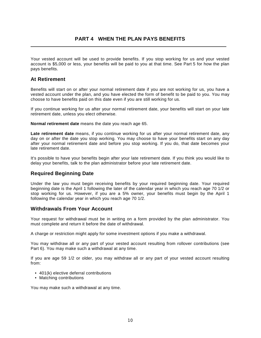# **PART 4 WHEN THE PLAN PAYS BENEFITS**

Your vested account will be used to provide benefits. If you stop working for us and your vested account is \$5,000 or less, your benefits will be paid to you at that time. See Part 5 for how the plan pays benefits.

# **At Retirement**

Benefits will start on or after your normal retirement date if you are not working for us, you have a vested account under the plan, and you have elected the form of benefit to be paid to you. You may choose to have benefits paid on this date even if you are still working for us.

If you continue working for us after your normal retirement date, your benefits will start on your late retirement date, unless you elect otherwise.

**Normal retirement date** means the date you reach age 65.

**Late retirement date** means, if you continue working for us after your normal retirement date, any day on or after the date you stop working. You may choose to have your benefits start on any day after your normal retirement date and before you stop working. If you do, that date becomes your late retirement date.

It's possible to have your benefits begin after your late retirement date. If you think you would like to delay your benefits, talk to the plan administrator before your late retirement date.

# **Required Beginning Date**

Under the law you must begin receiving benefits by your required beginning date. Your required beginning date is the April 1 following the later of the calendar year in which you reach age 70 1/2 or stop working for us. However, if you are a 5% owner, your benefits must begin by the April 1 following the calendar year in which you reach age 70 1/2.

# **Withdrawals From Your Account**

Your request for withdrawal must be in writing on a form provided by the plan administrator. You must complete and return it before the date of withdrawal.

A charge or restriction might apply for some investment options if you make a withdrawal.

You may withdraw all or any part of your vested account resulting from rollover contributions (see Part 6). You may make such a withdrawal at any time.

If you are age 59 1/2 or older, you may withdraw all or any part of your vested account resulting from:

- 401(k) elective deferral contributions
- Matching contributions

You may make such a withdrawal at any time.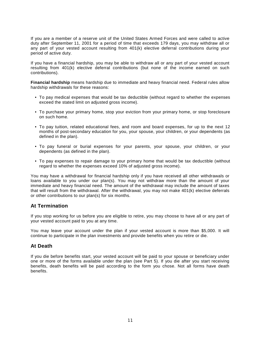If you are a member of a reserve unit of the United States Armed Forces and were called to active duty after September 11, 2001 for a period of time that exceeds 179 days, you may withdraw all or any part of your vested account resulting from 401(k) elective deferral contributions during your period of active duty.

If you have a financial hardship, you may be able to withdraw all or any part of your vested account resulting from 401(k) elective deferral contributions (but none of the income earned on such contributions).

**Financial hardship** means hardship due to immediate and heavy financial need. Federal rules allow hardship withdrawals for these reasons:

- To pay medical expenses that would be tax deductible (without regard to whether the expenses exceed the stated limit on adjusted gross income).
- To purchase your primary home, stop your eviction from your primary home, or stop foreclosure on such home.
- To pay tuition, related educational fees, and room and board expenses, for up to the next 12 months of post-secondary education for you, your spouse, your children, or your dependents (as defined in the plan).
- To pay funeral or burial expenses for your parents, your spouse, your children, or your dependents (as defined in the plan).
- To pay expenses to repair damage to your primary home that would be tax deductible (without regard to whether the expenses exceed 10% of adjusted gross income).

You may have a withdrawal for financial hardship only if you have received all other withdrawals or loans available to you under our plan(s). You may not withdraw more than the amount of your immediate and heavy financial need. The amount of the withdrawal may include the amount of taxes that will result from the withdrawal. After the withdrawal, you may not make 401(k) elective deferrals or other contributions to our plan(s) for six months.

# **At Termination**

If you stop working for us before you are eligible to retire, you may choose to have all or any part of your vested account paid to you at any time.

You may leave your account under the plan if your vested account is more than \$5,000. It will continue to participate in the plan investments and provide benefits when you retire or die.

# **At Death**

If you die before benefits start, your vested account will be paid to your spouse or beneficiary under one or more of the forms available under the plan (see Part 5). If you die after you start receiving benefits, death benefits will be paid according to the form you chose. Not all forms have death benefits.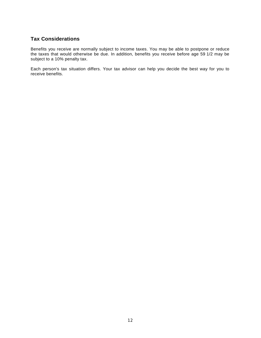# **Tax Considerations**

Benefits you receive are normally subject to income taxes. You may be able to postpone or reduce the taxes that would otherwise be due. In addition, benefits you receive before age 59 1/2 may be subject to a 10% penalty tax.

Each person's tax situation differs. Your tax advisor can help you decide the best way for you to receive benefits.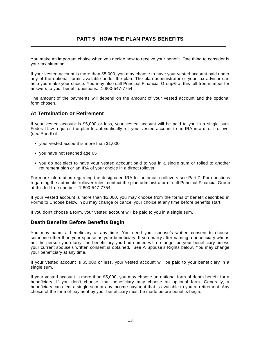# **PART 5 HOW THE PLAN PAYS BENEFITS**

You make an important choice when you decide how to receive your benefit. One thing to consider is your tax situation.

If your vested account is more than \$5,000, you may choose to have your vested account paid under any of the optional forms available under the plan. The plan administrator or your tax advisor can help you make your choice. You may also call Principal Financial Group® at this toll-free number for answers to your benefit questions: 1-800-547-7754.

The amount of the payments will depend on the amount of your vested account and the optional form chosen.

#### **At Termination or Retirement**

If your vested account is \$5,000 or less, your vested account will be paid to you in a single sum. Federal law requires the plan to automatically roll your vested account to an IRA in a direct rollover (see Part 6) if:

- your vested account is more than \$1,000
- you have not reached age 65
- you do not elect to have your vested account paid to you in a single sum or rolled to another retirement plan or an IRA of your choice in a direct rollover

For more information regarding the designated IRA for automatic rollovers see Part 7. For questions regarding the automatic rollover rules, contact the plan administrator or call Principal Financial Group at this toll-free number: 1-800-547-7754.

If your vested account is more than \$5,000, you may choose from the forms of benefit described in Forms to Choose below. You may change or cancel your choice at any time before benefits start.

If you don't choose a form, your vested account will be paid to you in a single sum.

#### **Death Benefits Before Benefits Begin**

You may name a beneficiary at any time. You need your spouse's written consent to choose someone other than your spouse as your beneficiary. If you marry after naming a beneficiary who is not the person you marry, the beneficiary you had named will no longer be your beneficiary unless your current spouse's written consent is obtained. See A Spouse's Rights below. You may change your beneficiary at any time.

If your vested account is \$5,000 or less, your vested account will be paid to your beneficiary in a single sum.

If your vested account is more than \$5,000, you may choose an optional form of death benefit for a beneficiary. If you don't choose, that beneficiary may choose an optional form. Generally, a beneficiary can elect a single sum or any income payment that is available to you at retirement. Any choice of the form of payment by your beneficiary must be made before benefits begin.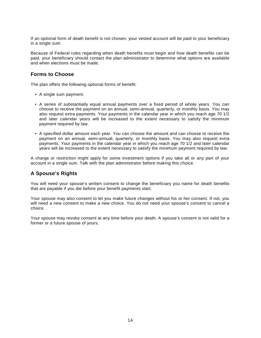If an optional form of death benefit is not chosen, your vested account will be paid to your beneficiary in a single sum.

Because of Federal rules regarding when death benefits must begin and how death benefits can be paid, your beneficiary should contact the plan administrator to determine what options are available and when elections must be made.

# **Forms to Choose**

The plan offers the following optional forms of benefit:

- A single sum payment.
- A series of substantially equal annual payments over a fixed period of whole years. You can choose to receive the payment on an annual, semi-annual, quarterly, or monthly basis. You may also request extra payments. Your payments in the calendar year in which you reach age 70 1/2 and later calendar years will be increased to the extent necessary to satisfy the minimum payment required by law.
- A specified dollar amount each year. You can choose the amount and can choose to receive the payment on an annual, semi-annual, quarterly, or monthly basis. You may also request extra payments. Your payments in the calendar year in which you reach age 70 1/2 and later calendar years will be increased to the extent necessary to satisfy the minimum payment required by law.

A charge or restriction might apply for some investment options if you take all or any part of your account in a single sum. Talk with the plan administrator before making this choice.

# **A Spouse's Rights**

You will need your spouse's written consent to change the beneficiary you name for death benefits that are payable if you die before your benefit payments start.

Your spouse may also consent to let you make future changes without his or her consent. If not, you will need a new consent to make a new choice. You do not need your spouse's consent to cancel a choice.

Your spouse may revoke consent at any time before your death. A spouse's consent is not valid for a former or a future spouse of yours.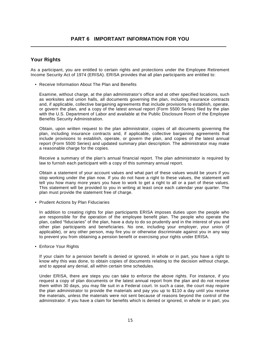# **Your Rights**

As a participant, you are entitled to certain rights and protections under the Employee Retirement Income Security Act of 1974 (ERISA). ERISA provides that all plan participants are entitled to:

• Receive Information About The Plan and Benefits

 Examine, without charge, at the plan administrator's office and at other specified locations, such as worksites and union halls, all documents governing the plan, including insurance contracts and, if applicable, collective bargaining agreements that include provisions to establish, operate, or govern the plan, and a copy of the latest annual report (Form 5500 Series) filed by the plan with the U.S. Department of Labor and available at the Public Disclosure Room of the Employee Benefits Security Administration.

 Obtain, upon written request to the plan administrator, copies of all documents governing the plan, including insurance contracts and, if applicable, collective bargaining agreements that include provisions to establish, operate, or govern the plan, and copies of the latest annual report (Form 5500 Series) and updated summary plan description. The administrator may make a reasonable charge for the copies.

 Receive a summary of the plan's annual financial report. The plan administrator is required by law to furnish each participant with a copy of this summary annual report.

 Obtain a statement of your account values and what part of these values would be yours if you stop working under the plan now. If you do not have a right to these values, the statement will tell you how many more years you have to work to get a right to all or a part of these values. This statement will be provided to you in writing at least once each calendar year quarter. The plan must provide the statement free of charge.

• Prudent Actions by Plan Fiduciaries

 In addition to creating rights for plan participants ERISA imposes duties upon the people who are responsible for the operation of the employee benefit plan. The people who operate the plan, called "fiduciaries" of the plan, have a duty to do so prudently and in the interest of you and other plan participants and beneficiaries. No one, including your employer, your union (if applicable), or any other person, may fire you or otherwise discriminate against you in any way to prevent you from obtaining a pension benefit or exercising your rights under ERISA.

• Enforce Your Rights

 If your claim for a pension benefit is denied or ignored, in whole or in part, you have a right to know why this was done, to obtain copies of documents relating to the decision without charge, and to appeal any denial, all within certain time schedules.

 Under ERISA, there are steps you can take to enforce the above rights. For instance, if you request a copy of plan documents or the latest annual report from the plan and do not receive them within 30 days, you may file suit in a Federal court. In such a case, the court may require the plan administrator to provide the materials and pay you up to \$110 a day until you receive the materials, unless the materials were not sent because of reasons beyond the control of the administrator. If you have a claim for benefits which is denied or ignored, in whole or in part, you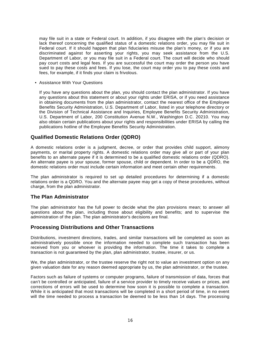may file suit in a state or Federal court. In addition, if you disagree with the plan's decision or lack thereof concerning the qualified status of a domestic relations order, you may file suit in Federal court. If it should happen that plan fiduciaries misuse the plan's money, or if you are discriminated against for asserting your rights, you may seek assistance from the U.S. Department of Labor, or you may file suit in a Federal court. The court will decide who should pay court costs and legal fees. If you are successful the court may order the person you have sued to pay these costs and fees. If you lose, the court may order you to pay these costs and fees, for example, if it finds your claim is frivolous.

• Assistance With Your Questions

 If you have any questions about the plan, you should contact the plan administrator. If you have any questions about this statement or about your rights under ERISA, or if you need assistance in obtaining documents from the plan administrator, contact the nearest office of the Employee Benefits Security Administration, U.S. Department of Labor, listed in your telephone directory or the Division of Technical Assistance and Inquiries, Employee Benefits Security Administration, U.S. Department of Labor, 200 Constitution Avenue N.W., Washington D.C. 20210. You may also obtain certain publications about your rights and responsibilities under ERISA by calling the publications hotline of the Employee Benefits Security Administration.

# **Qualified Domestic Relations Order (QDRO)**

A domestic relations order is a judgment, decree, or order that provides child support, alimony payments, or marital property rights. A domestic relations order may give all or part of your plan benefits to an alternate payee if it is determined to be a qualified domestic relations order (QDRO). An alternate payee is your spouse, former spouse, child or dependent. In order to be a QDRO, the domestic relations order must include certain information and meet certain other requirements.

The plan administrator is required to set up detailed procedures for determining if a domestic relations order is a QDRO. You and the alternate payee may get a copy of these procedures, without charge, from the plan administrator.

# **The Plan Administrator**

The plan administrator has the full power to decide what the plan provisions mean; to answer all questions about the plan, including those about eligibility and benefits; and to supervise the administration of the plan. The plan administrator's decisions are final.

# **Processing Distributions and Other Transactions**

Distributions, investment directions, trades, and similar transactions will be completed as soon as administratively possible once the information needed to complete such transaction has been received from you or whoever is providing the information. The time it takes to complete a transaction is not guaranteed by the plan, plan administrator, trustee, insurer, or us.

We, the plan administrator, or the trustee reserve the right not to value an investment option on any given valuation date for any reason deemed appropriate by us, the plan administrator, or the trustee.

Factors such as failure of systems or computer programs, failure of transmission of data, forces that can't be controlled or anticipated, failure of a service provider to timely receive values or prices, and corrections of errors will be used to determine how soon it is possible to complete a transaction. While it is anticipated that most transactions will be completed in a short period of time, in no event will the time needed to process a transaction be deemed to be less than 14 days. The processing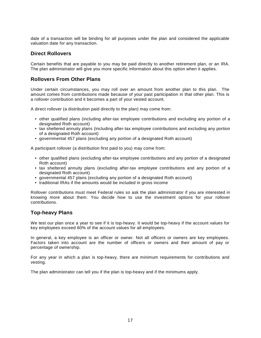date of a transaction will be binding for all purposes under the plan and considered the applicable valuation date for any transaction.

# **Direct Rollovers**

Certain benefits that are payable to you may be paid directly to another retirement plan, or an IRA. The plan administrator will give you more specific information about this option when it applies.

# **Rollovers From Other Plans**

Under certain circumstances, you may roll over an amount from another plan to this plan. The amount comes from contributions made because of your past participation in that other plan. This is a rollover contribution and it becomes a part of your vested account.

A direct rollover (a distribution paid directly to the plan) may come from:

- other qualified plans (including after-tax employee contributions and excluding any portion of a designated Roth account)
- tax sheltered annuity plans (including after-tax employee contributions and excluding any portion of a designated Roth account)
- governmental 457 plans (excluding any portion of a designated Roth account)

A participant rollover (a distribution first paid to you) may come from:

- other qualified plans (excluding after-tax employee contributions and any portion of a designated Roth account)
- tax sheltered annuity plans (excluding after-tax employee contributions and any portion of a designated Roth account)
- governmental 457 plans (excluding any portion of a designated Roth account)
- traditional IRAs if the amounts would be included in gross income

Rollover contributions must meet Federal rules so ask the plan administrator if you are interested in knowing more about them. You decide how to use the investment options for your rollover contributions.

# **Top-heavy Plans**

We test our plan once a year to see if it is top-heavy. It would be top-heavy if the account values for key employees exceed 60% of the account values for all employees.

In general, a key employee is an officer or owner. Not all officers or owners are key employees. Factors taken into account are the number of officers or owners and their amount of pay or percentage of ownership.

For any year in which a plan is top-heavy, there are minimum requirements for contributions and vesting.

The plan administrator can tell you if the plan is top-heavy and if the minimums apply.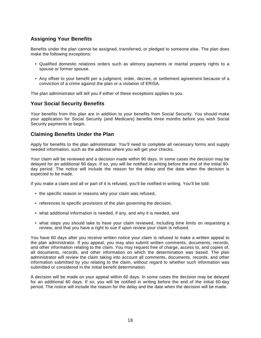# **Assigning Your Benefits**

Benefits under the plan cannot be assigned, transferred, or pledged to someone else. The plan does make the following exceptions:

- Qualified domestic relations orders such as alimony payments or marital property rights to a spouse or former spouse.
- Any offset to your benefit per a judgment, order, decree, or settlement agreement because of a conviction of a crime against the plan or a violation of ERISA.

The plan administrator will tell you if either of these exceptions applies to you.

# **Your Social Security Benefits**

Your benefits from this plan are in addition to your benefits from Social Security. You should make your application for Social Security (and Medicare) benefits three months before you wish Social Security payments to begin.

# **Claiming Benefits Under the Plan**

Apply for benefits to the plan administrator. You'll need to complete all necessary forms and supply needed information, such as the address where you will get your checks.

Your claim will be reviewed and a decision made within 90 days. In some cases the decision may be delayed for an additional 90 days. If so, you will be notified in writing before the end of the initial 90 day period. The notice will include the reason for the delay and the date when the decision is expected to be made.

If you make a claim and all or part of it is refused, you'll be notified in writing. You'll be told:

- the specific reason or reasons why your claim was refused,
- references to specific provisions of the plan governing the decision,
- what additional information is needed, if any, and why it is needed, and
- what steps you should take to have your claim reviewed, including time limits on requesting a review, and that you have a right to sue if upon review your claim is refused.

You have 60 days after you receive written notice your claim is refused to make a written appeal to the plan administrator. If you appeal, you may also submit written comments, documents, records, and other information relating to the claim. You may request free of charge, access to, and copies of, all documents, records, and other information on which the determination was based. The plan administrator will review the claim taking into account all comments, documents, records, and other information submitted by you relating to the claim, without regard to whether such information was submitted or considered in the initial benefit determination.

A decision will be made on your appeal within 60 days. In some cases the decision may be delayed for an additional 60 days. If so, you will be notified in writing before the end of the initial 60-day period. The notice will include the reason for the delay and the date when the decision will be made.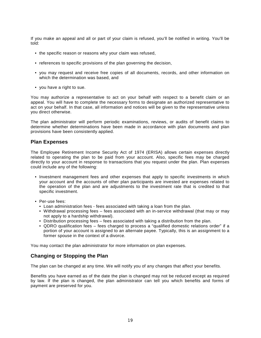If you make an appeal and all or part of your claim is refused, you'll be notified in writing. You'll be told:

- the specific reason or reasons why your claim was refused,
- references to specific provisions of the plan governing the decision,
- you may request and receive free copies of all documents, records, and other information on which the determination was based, and
- you have a right to sue.

You may authorize a representative to act on your behalf with respect to a benefit claim or an appeal. You will have to complete the necessary forms to designate an authorized representative to act on your behalf. In that case, all information and notices will be given to the representative unless you direct otherwise.

The plan administrator will perform periodic examinations, reviews, or audits of benefit claims to determine whether determinations have been made in accordance with plan documents and plan provisions have been consistently applied.

#### **Plan Expenses**

The Employee Retirement Income Security Act of 1974 (ERISA) allows certain expenses directly related to operating the plan to be paid from your account. Also, specific fees may be charged directly to your account in response to transactions that you request under the plan. Plan expenses could include any of the following:

- Investment management fees and other expenses that apply to specific investments in which your account and the accounts of other plan participants are invested are expenses related to the operation of the plan and are adjustments to the investment rate that is credited to that specific investment.
- Per-use fees:
	- Loan administration fees fees associated with taking a loan from the plan.
	- Withdrawal processing fees fees associated with an in-service withdrawal (that may or may not apply to a hardship withdrawal).
	- Distribution processing fees fees associated with taking a distribution from the plan.
	- QDRO qualification fees fees charged to process a "qualified domestic relations order" if a portion of your account is assigned to an alternate payee. Typically, this is an assignment to a former spouse in the context of a divorce.

You may contact the plan administrator for more information on plan expenses.

# **Changing or Stopping the Plan**

The plan can be changed at any time. We will notify you of any changes that affect your benefits.

Benefits you have earned as of the date the plan is changed may not be reduced except as required by law. If the plan is changed, the plan administrator can tell you which benefits and forms of payment are preserved for you.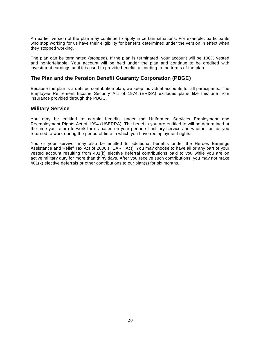An earlier version of the plan may continue to apply in certain situations. For example, participants who stop working for us have their eligibility for benefits determined under the version in effect when they stopped working.

The plan can be terminated (stopped). If the plan is terminated, your account will be 100% vested and nonforfeitable. Your account will be held under the plan and continue to be credited with investment earnings until it is used to provide benefits according to the terms of the plan.

# **The Plan and the Pension Benefit Guaranty Corporation (PBGC)**

Because the plan is a defined contribution plan, we keep individual accounts for all participants. The Employee Retirement Income Security Act of 1974 (ERISA) excludes plans like this one from insurance provided through the PBGC.

#### **Military Service**

You may be entitled to certain benefits under the Uniformed Services Employment and Reemployment Rights Act of 1994 (USERRA). The benefits you are entitled to will be determined at the time you return to work for us based on your period of military service and whether or not you returned to work during the period of time in which you have reemployment rights.

You or your survivor may also be entitled to additional benefits under the Heroes Earnings Assistance and Relief Tax Act of 2008 (HEART Act). You may choose to have all or any part of your vested account resulting from 401(k) elective deferral contributions paid to you while you are on active military duty for more than thirty days. After you receive such contributions, you may not make 401(k) elective deferrals or other contributions to our plan(s) for six months.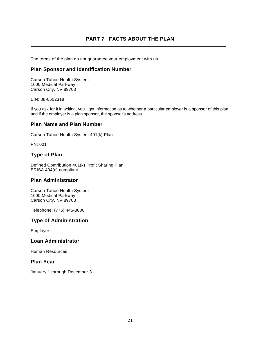# **PART 7 FACTS ABOUT THE PLAN**

The terms of the plan do not guarantee your employment with us.

# **Plan Sponsor and Identification Number**

Carson Tahoe Health System 1600 Medical Parkway Carson City, NV 89703

EIN: 88-0502318

If you ask for it in writing, you'll get information as to whether a particular employer is a sponsor of this plan, and if the employer is a plan sponsor, the sponsor's address.

# **Plan Name and Plan Number**

Carson Tahoe Health System 401(k) Plan

PN: 001

# **Type of Plan**

Defined Contribution 401(k) Profit Sharing Plan ERISA 404(c) compliant

# **Plan Administrator**

Carson Tahoe Health System 1600 Medical Parkway Carson City, NV 89703

Telephone: (775) 445-8000

# **Type of Administration**

Employer

# **Loan Administrator**

Human Resources

# **Plan Year**

January 1 through December 31